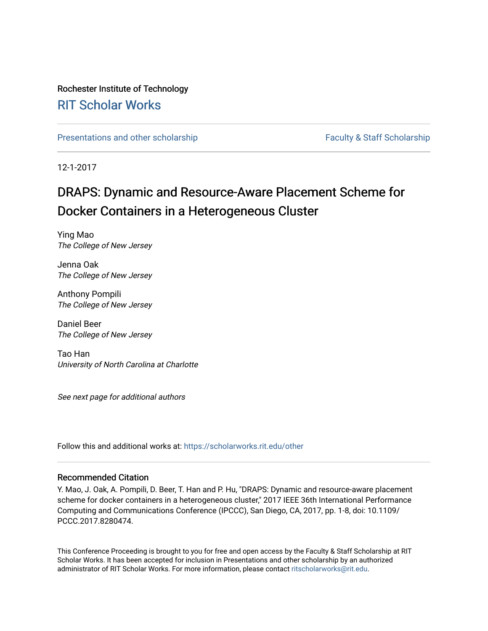## Rochester Institute of Technology

### [RIT Scholar Works](https://scholarworks.rit.edu/)

[Presentations and other scholarship](https://scholarworks.rit.edu/other) Faculty & Staff Scholarship

12-1-2017

# DRAPS: Dynamic and Resource-Aware Placement Scheme for Docker Containers in a Heterogeneous Cluster

Ying Mao The College of New Jersey

Jenna Oak The College of New Jersey

Anthony Pompili The College of New Jersey

Daniel Beer The College of New Jersey

Tao Han University of North Carolina at Charlotte

See next page for additional authors

Follow this and additional works at: [https://scholarworks.rit.edu/other](https://scholarworks.rit.edu/other?utm_source=scholarworks.rit.edu%2Fother%2F938&utm_medium=PDF&utm_campaign=PDFCoverPages) 

### Recommended Citation

Y. Mao, J. Oak, A. Pompili, D. Beer, T. Han and P. Hu, "DRAPS: Dynamic and resource-aware placement scheme for docker containers in a heterogeneous cluster," 2017 IEEE 36th International Performance Computing and Communications Conference (IPCCC), San Diego, CA, 2017, pp. 1-8, doi: 10.1109/ PCCC.2017.8280474.

This Conference Proceeding is brought to you for free and open access by the Faculty & Staff Scholarship at RIT Scholar Works. It has been accepted for inclusion in Presentations and other scholarship by an authorized administrator of RIT Scholar Works. For more information, please contact [ritscholarworks@rit.edu](mailto:ritscholarworks@rit.edu).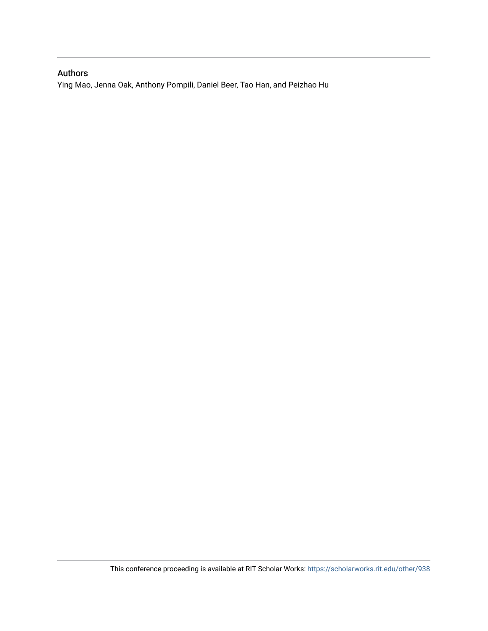### Authors

Ying Mao, Jenna Oak, Anthony Pompili, Daniel Beer, Tao Han, and Peizhao Hu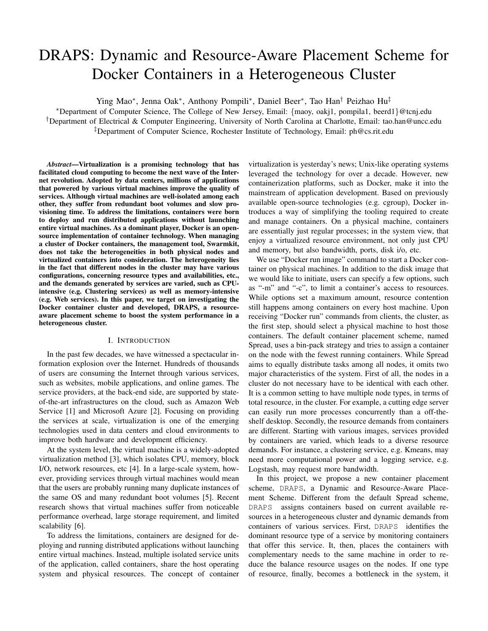## DRAPS: Dynamic and Resource-Aware Placement Scheme for Docker Containers in a Heterogeneous Cluster

Ying Mao<sup>∗</sup> , Jenna Oak<sup>∗</sup> , Anthony Pompili<sup>∗</sup> , Daniel Beer<sup>∗</sup> , Tao Han† Peizhao Hu‡

<sup>∗</sup>Department of Computer Science, The College of New Jersey, Email: {maoy, oakj1, pompila1, beerd1}@tcnj.edu

†Department of Electrical & Computer Engineering, University of North Carolina at Charlotte, Email: tao.han@uncc.edu ‡Department of Computer Science, Rochester Institute of Technology, Email: ph@cs.rit.edu

*Abstract*—Virtualization is a promising technology that has facilitated cloud computing to become the next wave of the Internet revolution. Adopted by data centers, millions of applications that powered by various virtual machines improve the quality of services. Although virtual machines are well-isolated among each other, they suffer from redundant boot volumes and slow provisioning time. To address the limitations, containers were born to deploy and run distributed applications without launching entire virtual machines. As a dominant player, Docker is an opensource implementation of container technology. When managing a cluster of Docker containers, the management tool, Swarmkit, does not take the heterogeneities in both physical nodes and virtualized containers into consideration. The heterogeneity lies in the fact that different nodes in the cluster may have various configurations, concerning resource types and availabilities, etc., and the demands generated by services are varied, such as CPUintensive (e.g. Clustering services) as well as memory-intensive (e.g. Web services). In this paper, we target on investigating the Docker container cluster and developed, DRAPS, a resourceaware placement scheme to boost the system performance in a heterogeneous cluster.

#### I. INTRODUCTION

In the past few decades, we have witnessed a spectacular information explosion over the Internet. Hundreds of thousands of users are consuming the Internet through various services, such as websites, mobile applications, and online games. The service providers, at the back-end side, are supported by stateof-the-art infrastructures on the cloud, such as Amazon Web Service [1] and Microsoft Azure [2]. Focusing on providing the services at scale, virtualization is one of the emerging technologies used in data centers and cloud environments to improve both hardware and development efficiency.

At the system level, the virtual machine is a widely-adopted virtualization method [3], which isolates CPU, memory, block I/O, network resources, etc [4]. In a large-scale system, however, providing services through virtual machines would mean that the users are probably running many duplicate instances of the same OS and many redundant boot volumes [5]. Recent research shows that virtual machines suffer from noticeable performance overhead, large storage requirement, and limited scalability [6].

To address the limitations, containers are designed for deploying and running distributed applications without launching entire virtual machines. Instead, multiple isolated service units of the application, called containers, share the host operating system and physical resources. The concept of container

virtualization is yesterday's news; Unix-like operating systems leveraged the technology for over a decade. However, new containerization platforms, such as Docker, make it into the mainstream of application development. Based on previously available open-source technologies (e.g. cgroup), Docker introduces a way of simplifying the tooling required to create and manage containers. On a physical machine, containers are essentially just regular processes; in the system view, that enjoy a virtualized resource environment, not only just CPU and memory, but also bandwidth, ports, disk i/o, etc.

We use "Docker run image" command to start a Docker container on physical machines. In addition to the disk image that we would like to initiate, users can specify a few options, such as "-m" and "-c", to limit a container's access to resources. While options set a maximum amount, resource contention still happens among containers on every host machine. Upon receiving "Docker run" commands from clients, the cluster, as the first step, should select a physical machine to host those containers. The default container placement scheme, named Spread, uses a bin-pack strategy and tries to assign a container on the node with the fewest running containers. While Spread aims to equally distribute tasks among all nodes, it omits two major characteristics of the system. First of all, the nodes in a cluster do not necessary have to be identical with each other. It is a common setting to have multiple node types, in terms of total resource, in the cluster. For example, a cutting edge server can easily run more processes concurrently than a off-theshelf desktop. Secondly, the resource demands from containers are different. Starting with various images, services provided by containers are varied, which leads to a diverse resource demands. For instance, a clustering service, e.g. Kmeans, may need more computational power and a logging service, e.g. Logstash, may request more bandwidth.

In this project, we propose a new container placement scheme, DRAPS, a Dynamic and Resource-Aware Placement Scheme. Different from the default Spread scheme, DRAPS assigns containers based on current available resources in a heterogeneous cluster and dynamic demands from containers of various services. First, DRAPS identifies the dominant resource type of a service by monitoring containers that offer this service. It, then, places the containers with complementary needs to the same machine in order to reduce the balance resource usages on the nodes. If one type of resource, finally, becomes a bottleneck in the system, it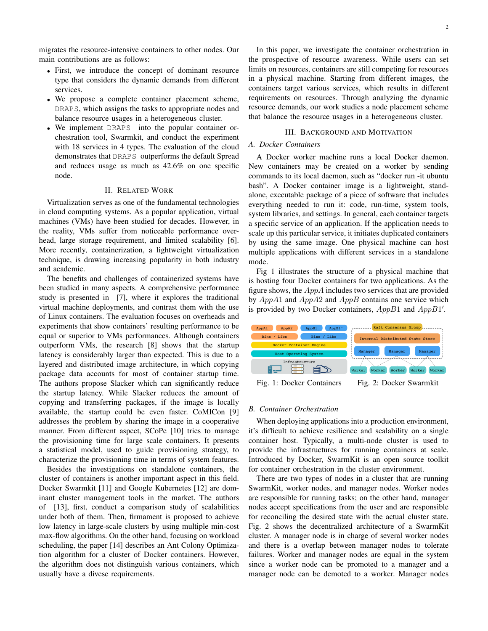migrates the resource-intensive containers to other nodes. Our main contributions are as follows:

- First, we introduce the concept of dominant resource type that considers the dynamic demands from different services.
- We propose a complete container placement scheme, DRAPS, which assigns the tasks to appropriate nodes and balance resource usages in a heterogeneous cluster.
- We implement DRAPS into the popular container orchestration tool, Swarmkit, and conduct the experiment with 18 services in 4 types. The evaluation of the cloud demonstrates that DRAPS outperforms the default Spread and reduces usage as much as 42.6% on one specific node.

#### II. RELATED WORK

Virtualization serves as one of the fundamental technologies in cloud computing systems. As a popular application, virtual machines (VMs) have been studied for decades. However, in the reality, VMs suffer from noticeable performance overhead, large storage requirement, and limited scalability [6]. More recently, containerization, a lightweight virtualization technique, is drawing increasing popularity in both industry and academic.

The benefits and challenges of containerized systems have been studied in many aspects. A comprehensive performance study is presented in [7], where it explores the traditional virtual machine deployments, and contrast them with the use of Linux containers. The evaluation focuses on overheads and experiments that show containers' resulting performance to be equal or superior to VMs performances. Although containers outperform VMs, the research [8] shows that the startup latency is considerably larger than expected. This is due to a layered and distributed image architecture, in which copying package data accounts for most of container startup time. The authors propose Slacker which can significantly reduce the startup latency. While Slacker reduces the amount of copying and transferring packages, if the image is locally available, the startup could be even faster. CoMICon [9] addresses the problem by sharing the image in a cooperative manner. From different aspect, SCoPe [10] tries to manage the provisioning time for large scale containers. It presents a statistical model, used to guide provisioning strategy, to characterize the provisioning time in terms of system features.

Besides the investigations on standalone containers, the cluster of containers is another important aspect in this field. Docker Swarmkit [11] and Google Kubernetes [12] are dominant cluster management tools in the market. The authors of [13], first, conduct a comparison study of scalabilities under both of them. Then, firmament is proposed to achieve low latency in large-scale clusters by using multiple min-cost max-flow algorithms. On the other hand, focusing on workload scheduling, the paper [14] describes an Ant Colony Optimization algorithm for a cluster of Docker containers. However, the algorithm does not distinguish various containers, which usually have a divese requirements.

In this paper, we investigate the container orchestration in the prospective of resource awareness. While users can set limits on resources, containers are still competing for resources in a physical machine. Starting from different images, the containers target various services, which results in different requirements on resources. Through analyzing the dynamic resource demands, our work studies a node placement scheme that balance the resource usages in a heterogeneous cluster.

#### III. BACKGROUND AND MOTIVATION

#### *A. Docker Containers*

A Docker worker machine runs a local Docker daemon. New containers may be created on a worker by sending commands to its local daemon, such as "docker run -it ubuntu bash". A Docker container image is a lightweight, standalone, executable package of a piece of software that includes everything needed to run it: code, run-time, system tools, system libraries, and settings. In general, each container targets a specific service of an application. If the application needs to scale up this particular service, it initiates duplicated containers by using the same image. One physical machine can host multiple applications with different services in a standalone mode.

Fig 1 illustrates the structure of a physical machine that is hosting four Docker containers for two applications. As the figure shows, the  $AppA$  includes two services that are provided by  $AppA1$  and  $AppA2$  and  $AppB$  contains one service which is provided by two Docker containers,  $AppB1$  and  $AppB1'$ .



Fig. 1: Docker Containers Fig. 2: Docker Swarmkit

#### *B. Container Orchestration*

When deploying applications into a production environment, it's difficult to achieve resilience and scalability on a single container host. Typically, a multi-node cluster is used to provide the infrastructures for running containers at scale. Introduced by Docker, SwarmKit is an open source toolkit for container orchestration in the cluster environment.

There are two types of nodes in a cluster that are running SwarmKit, worker nodes, and manager nodes. Worker nodes are responsible for running tasks; on the other hand, manager nodes accept specifications from the user and are responsible for reconciling the desired state with the actual cluster state. Fig. 2 shows the decentralized architecture of a SwarmKit cluster. A manager node is in charge of several worker nodes and there is a overlap between manager nodes to tolerate failures. Worker and manager nodes are equal in the system since a worker node can be promoted to a manager and a manager node can be demoted to a worker. Manager nodes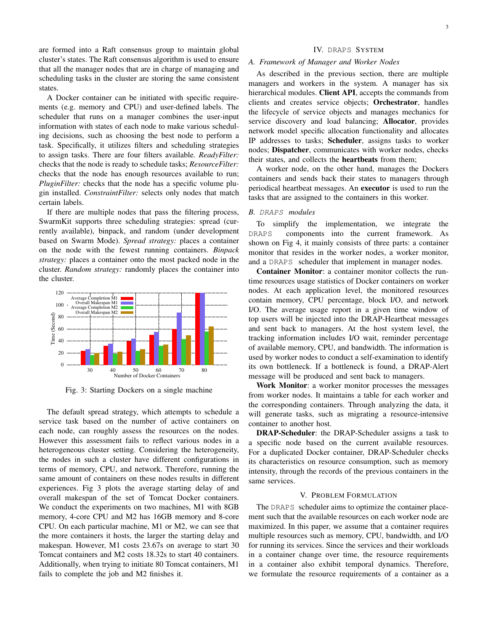are formed into a Raft consensus group to maintain global cluster's states. The Raft consensus algorithm is used to ensure that all the manager nodes that are in charge of managing and scheduling tasks in the cluster are storing the same consistent states.

A Docker container can be initiated with specific requirements (e.g. memory and CPU) and user-defined labels. The scheduler that runs on a manager combines the user-input information with states of each node to make various scheduling decisions, such as choosing the best node to perform a task. Specifically, it utilizes filters and scheduling strategies to assign tasks. There are four filters available. *ReadyFilter:* checks that the node is ready to schedule tasks; *ResourceFilter:* checks that the node has enough resources available to run; *PluginFilter:* checks that the node has a specific volume plugin installed. *ConstraintFilter:* selects only nodes that match certain labels.

If there are multiple nodes that pass the filtering process, SwarmKit supports three scheduling strategies: spread (currently available), binpack, and random (under development based on Swarm Mode). *Spread strategy:* places a container on the node with the fewest running containers. *Binpack strategy:* places a container onto the most packed node in the cluster. *Random strategy:* randomly places the container into the cluster.



Fig. 3: Starting Dockers on a single machine

The default spread strategy, which attempts to schedule a service task based on the number of active containers on each node, can roughly assess the resources on the nodes. However this assessment fails to reflect various nodes in a heterogeneous cluster setting. Considering the heterogeneity, the nodes in such a cluster have different configurations in terms of memory, CPU, and network. Therefore, running the same amount of containers on these nodes results in different experiences. Fig 3 plots the average starting delay of and overall makespan of the set of Tomcat Docker containers. We conduct the experiments on two machines, M1 with 8GB memory, 4-core CPU and M2 has 16GB memory and 8-core CPU. On each particular machine, M1 or M2, we can see that the more containers it hosts, the larger the starting delay and makespan. However, M1 costs 23.67s on average to start 30 Tomcat containers and M2 costs 18.32s to start 40 containers. Additionally, when trying to initiate 80 Tomcat containers, M1 fails to complete the job and M2 finishes it.

#### *A. Framework of Manager and Worker Nodes*

As described in the previous section, there are multiple managers and workers in the system. A manager has six hierarchical modules. Client API, accepts the commands from clients and creates service objects; Orchestrator, handles the lifecycle of service objects and manages mechanics for service discovery and load balancing; Allocator, provides network model specific allocation functionality and allocates IP addresses to tasks; Scheduler, assigns tasks to worker nodes; Dispatcher, communicates with worker nodes, checks their states, and collects the heartbeats from them;

A worker node, on the other hand, manages the Dockers containers and sends back their states to managers through periodical heartbeat messages. An executor is used to run the tasks that are assigned to the containers in this worker.

#### *B.* DRAPS *modules*

To simplify the implementation, we integrate the DRAPS components into the current framework. As shown on Fig 4, it mainly consists of three parts: a container monitor that resides in the worker nodes, a worker monitor, and a DRAPS scheduler that implement in manager nodes.

Container Monitor: a container monitor collects the runtime resources usage statistics of Docker containers on worker nodes. At each application level, the monitored resources contain memory, CPU percentage, block I/O, and network I/O. The average usage report in a given time window of top users will be injected into the DRAP-Heartbeat messages and sent back to managers. At the host system level, the tracking information includes I/O wait, reminder percentage of available memory, CPU, and bandwidth. The information is used by worker nodes to conduct a self-examination to identify its own bottleneck. If a bottleneck is found, a DRAP-Alert message will be produced and sent back to managers.

Work Monitor: a worker monitor processes the messages from worker nodes. It maintains a table for each worker and the corresponding containers. Through analyzing the data, it will generate tasks, such as migrating a resource-intensive container to another host.

DRAP-Scheduler: the DRAP-Scheduler assigns a task to a specific node based on the current available resources. For a duplicated Docker container, DRAP-Scheduler checks its characteristics on resource consumption, such as memory intensity, through the records of the previous containers in the same services.

#### V. PROBLEM FORMULATION

The DRAPS scheduler aims to optimize the container placement such that the available resources on each worker node are maximized. In this paper, we assume that a container requires multiple resources such as memory, CPU, bandwidth, and I/O for running its services. Since the services and their workloads in a container change over time, the resource requirements in a container also exhibit temporal dynamics. Therefore, we formulate the resource requirements of a container as a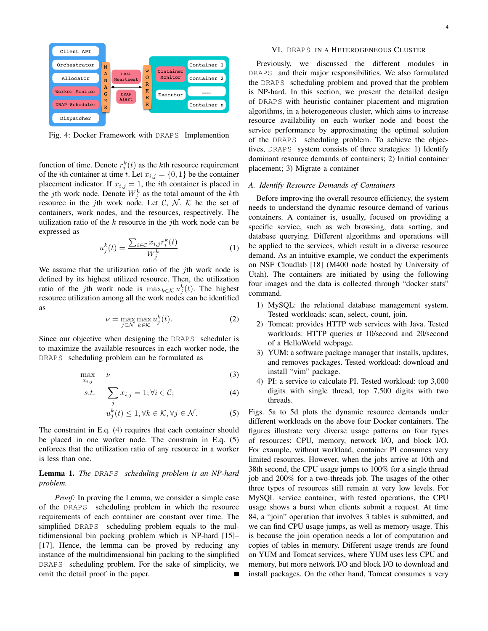

Fig. 4: Docker Framework with DRAPS Implemention

function of time. Denote  $r_i^k(t)$  as the kth resource requirement of the *i*th container at time t. Let  $x_{i,j} = \{0, 1\}$  be the container placement indicator. If  $x_{i,j} = 1$ , the *i*th container is placed in the *j*th work node. Denote  $W_j^k$  as the total amount of the *k*th resource in the *j*th work node. Let C, N, K be the set of containers, work nodes, and the resources, respectively. The utilization ratio of the  $k$  resource in the *j*th work node can be expressed as

$$
u_j^k(t) = \frac{\sum_{i \in \mathcal{C}} x_{i,j} r_i^k(t)}{W_j^k}
$$
 (1)

We assume that the utilization ratio of the *j*th work node is defined by its highest utilized resource. Then, the utilization ratio of the jth work node is  $\max_{k \in \mathcal{K}} u_j^k(t)$ . The highest resource utilization among all the work nodes can be identified as

$$
\nu = \max_{j \in \mathcal{N}} \max_{k \in \mathcal{K}} u_j^k(t). \tag{2}
$$

Since our objective when designing the DRAPS scheduler is to maximize the available resources in each worker node, the DRAPS scheduling problem can be formulated as

$$
\max_{x_{i,j}} \quad \nu \tag{3}
$$

$$
s.t. \quad \sum_{j} x_{i,j} = 1; \forall i \in \mathcal{C}; \tag{4}
$$

$$
u_j^k(t) \le 1, \forall k \in \mathcal{K}, \forall j \in \mathcal{N}.\tag{5}
$$

The constraint in E.q. (4) requires that each container should be placed in one worker node. The constrain in E.q. (5) enforces that the utilization ratio of any resource in a worker is less than one.

#### Lemma 1. *The* DRAPS *scheduling problem is an NP-hard problem.*

*Proof:* In proving the Lemma, we consider a simple case of the DRAPS scheduling problem in which the resource requirements of each container are constant over time. The simplified DRAPS scheduling problem equals to the multidimensional bin packing problem which is NP-hard [15]– [17]. Hence, the lemma can be proved by reducing any instance of the multidimensional bin packing to the simplified DRAPS scheduling problem. For the sake of simplicity, we omit the detail proof in the paper.

#### VI. DRAPS IN A HETEROGENEOUS CLUSTER

Previously, we discussed the different modules in DRAPS and their major responsibilities. We also formulated the DRAPS scheduling problem and proved that the problem is NP-hard. In this section, we present the detailed design of DRAPS with heuristic container placement and migration algorithms, in a heterogeneous cluster, which aims to increase resource availability on each worker node and boost the service performance by approximating the optimal solution of the DRAPS scheduling problem. To achieve the objectives, DRAPS system consists of three strategies: 1) Identify dominant resource demands of containers; 2) Initial container placement; 3) Migrate a container

#### *A. Identify Resource Demands of Containers*

Before improving the overall resource efficiency, the system needs to understand the dynamic resource demand of various containers. A container is, usually, focused on providing a specific service, such as web browsing, data sorting, and database querying. Different algorithms and operations will be applied to the services, which result in a diverse resource demand. As an intuitive example, we conduct the experiments on NSF Cloudlab [18] (M400 node hosted by University of Utah). The containers are initiated by using the following four images and the data is collected through "docker stats" command.

- 1) MySQL: the relational database management system. Tested workloads: scan, select, count, join.
- 2) Tomcat: provides HTTP web services with Java. Tested workloads: HTTP queries at 10/second and 20/second of a HelloWorld webpage.
- 3) YUM: a software package manager that installs, updates, and removes packages. Tested workload: download and install "vim" package.
- 4) PI: a service to calculate PI. Tested workload: top 3,000 digits with single thread, top 7,500 digits with two threads.

Figs. 5a to 5d plots the dynamic resource demands under different workloads on the above four Docker containers. The figures illustrate very diverse usage patterns on four types of resources: CPU, memory, network I/O, and block I/O. For example, without workload, container PI consumes very limited resources. However, when the jobs arrive at 10th and 38th second, the CPU usage jumps to 100% for a single thread job and 200% for a two-threads job. The usages of the other three types of resources still remain at very low levels. For MySQL service container, with tested operations, the CPU usage shows a burst when clients submit a request. At time 84, a "join" operation that involves 3 tables is submitted, and we can find CPU usage jumps, as well as memory usage. This is because the join operation needs a lot of computation and copies of tables in memory. Different usage trends are found on YUM and Tomcat services, where YUM uses less CPU and memory, but more network I/O and block I/O to download and install packages. On the other hand, Tomcat consumes a very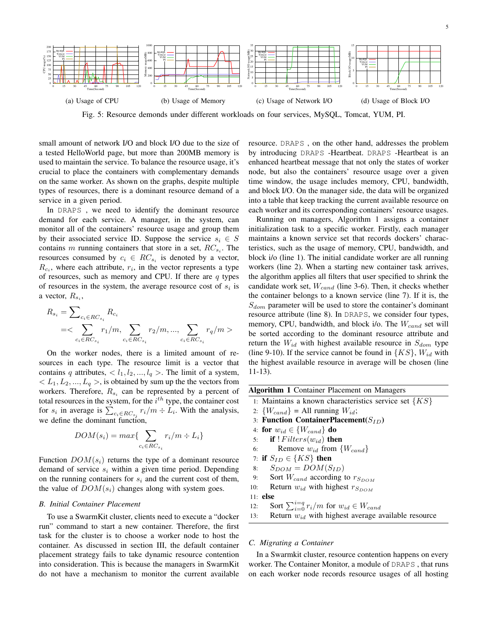5



Fig. 5: Resource demonds under different workloads on four services, MySQL, Tomcat, YUM, PI.

small amount of network I/O and block I/O due to the size of a tested HelloWorld page, but more than 200MB memory is used to maintain the service. To balance the resource usage, it's crucial to place the containers with complementary demands on the same worker. As shown on the graphs, despite multiple types of resources, there is a dominant resource demand of a service in a given period.

In DRAPS , we need to identify the dominant resource demand for each service. A manager, in the system, can monitor all of the containers' resource usage and group them by their associated service ID. Suppose the service  $s_i \in S$ contains m running containers that store in a set,  $RC_{s_i}$ . The resources consumed by  $c_i \in RC_{s_i}$  is denoted by a vector,  $R_{c_i}$ , where each attribute,  $r_i$ , in the vector represents a type of resources, such as memory and CPU. If there are  $q$  types of resources in the system, the average resource cost of  $s_i$  is a vector,  $R_{s_i}$ ,

$$
R_{s_i} = \sum_{c_i \in RC_{s_i}} R_{c_i}
$$
  
= $\sum_{c_i \in RC_{s_i}} r_1/m$ ,  $\sum_{c_i \in RC_{s_i}} r_2/m$ , ...,  $\sum_{c_i \in RC_{s_i}} r_q/m >$ 

On the worker nodes, there is a limited amount of resources in each type. The resource limit is a vector that contains q attributes,  $\langle l_1, l_2, ..., l_q \rangle$ . The limit of a system,  $\langle L_1, L_2, ..., L_q \rangle$ , is obtained by sum up the the vectors from workers. Therefore,  $R_{s_i}$  can be represented by a percent of total resources in the system, for the  $i<sup>th</sup>$  type, the container cost for  $s_i$  in average is  $\sum_{c_i \in RC_{s_i}} r_i/m \div L_i$ . With the analysis, we define the dominant function,

$$
DOM(s_i) = max\{\sum_{c_i \in RC_{s_i}} r_i/m \div L_i\}
$$

Function  $DOM(s_i)$  returns the type of a dominant resource demand of service  $s_i$  within a given time period. Depending on the running containers for  $s_i$  and the current cost of them, the value of  $DOM(s_i)$  changes along with system goes.

#### *B. Initial Container Placement*

To use a SwarmKit cluster, clients need to execute a "docker run" command to start a new container. Therefore, the first task for the cluster is to choose a worker node to host the container. As discussed in section III, the default container placement strategy fails to take dynamic resource contention into consideration. This is because the managers in SwarmKit do not have a mechanism to monitor the current available resource. DRAPS , on the other hand, addresses the problem by introducing DRAPS -Heartbeat. DRAPS -Heartbeat is an enhanced heartbeat message that not only the states of worker node, but also the containers' resource usage over a given time window, the usage includes memory, CPU, bandwidth, and block I/O. On the manager side, the data will be organized into a table that keep tracking the current available resource on each worker and its corresponding containers' resource usages.

Running on managers, Algorithm 1 assigns a container initialization task to a specific worker. Firstly, each manager maintains a known service set that records dockers' characteristics, such as the usage of memory, CPU, bandwidth, and block i/o (line 1). The initial candidate worker are all running workers (line 2). When a starting new container task arrives, the algorithm applies all filters that user specified to shrink the candidate work set,  $W_{cand}$  (line 3-6). Then, it checks whether the container belongs to a known service (line 7). If it is, the  $S_{dom}$  parameter will be used to store the container's dominant resource attribute (line 8). In DRAPS, we consider four types, memory, CPU, bandwidth, and block i/o. The  $W_{cand}$  set will be sorted according to the dominant resource attribute and return the  $W_{id}$  with highest available resource in  $S_{dom}$  type (line 9-10). If the service cannot be found in  $\{KS\}$ ,  $W_{id}$  with the highest available resource in average will be chosen (line 11-13).

- 1: Maintains a known characteristics service set  $\{KS\}$
- 2:  $\{W_{cand}\}$  = All running  $W_{id}$ ;
- 3: Function ContainerPlacement( $S_{ID}$ )
- 4: for  $w_{id} \in \{W_{cand}\}\)$  do
- 5: if  $! Filters(w_{id})$  then
- 6: Remove  $w_{id}$  from  $\{W_{cand}\}$
- 7: if  $S_{ID} \in \{KS\}$  then
- 8:  $S_{DOM} = DOM(S_{ID})$
- 9: Sort  $W_{cand}$  according to  $r_{S_{DOM}}$
- 10: Return  $w_{id}$  with highest  $r_{S_{DOM}}$
- 11: else

12: Sort  $\sum_{i=0}^{i=q} r_i/m$  for  $w_{id} \in W_{cand}$ 

13: Return  $w_{id}$  with highest average available resource

#### *C. Migrating a Container*

In a Swarmkit cluster, resource contention happens on every worker. The Container Monitor, a module of DRAPS , that runs on each worker node records resource usages of all hosting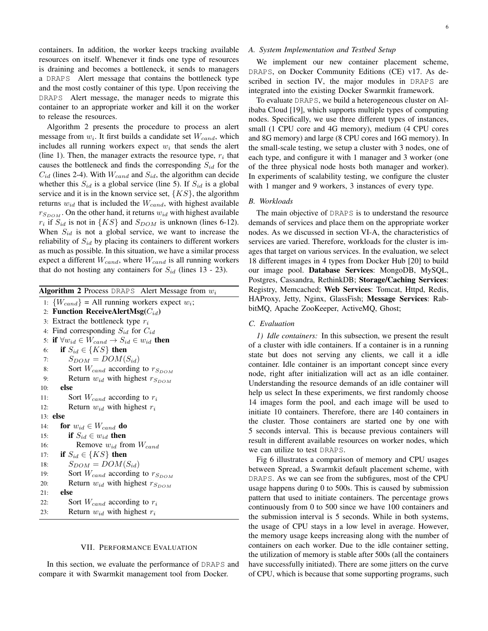containers. In addition, the worker keeps tracking available resources on itself. Whenever it finds one type of resources is draining and becomes a bottleneck, it sends to managers a DRAPS Alert message that contains the bottleneck type and the most costly container of this type. Upon receiving the DRAPS Alert message, the manager needs to migrate this container to an appropriate worker and kill it on the worker to release the resources.

Algorithm 2 presents the procedure to process an alert message from  $w_i$ . It first builds a candidate set  $W_{cand}$ , which includes all running workers expect  $w_i$  that sends the alert (line 1). Then, the manager extracts the resource type,  $r_i$  that causes the bottleneck and finds the corresponding  $S_{id}$  for the  $C_{id}$  (lines 2-4). With  $W_{cand}$  and  $S_{id}$ , the algorithm can decide whether this  $S_{id}$  is a global service (line 5). If  $S_{id}$  is a global service and it is in the known service set,  $\{KS\}$ , the algorithm returns  $w_{id}$  that is included the  $W_{cand}$ , with highest available  $r_{S_{DOM}}$ . On the other hand, it returns  $w_{id}$  with highest available  $r_i$  if  $S_{id}$  is not in  $\{KS\}$  and  $S_{DOM}$  is unknown (lines 6-12). When  $S_{id}$  is not a global service, we want to increase the reliability of  $S_{id}$  by placing its containers to different workers as much as possible. In this situation, we have a similar process expect a different  $W_{cand}$ , where  $W_{cand}$  is all running workers that do not hosting any containers for  $S_{id}$  (lines 13 - 23).

**Algorithm 2** Process DRAPS Alert Message from  $w_i$ 1:  $\{W_{cand}\}$  = All running workers expect  $w_i$ ; 2: Function ReceiveAlert $Msg(C_{id})$ 3: Extract the bottleneck type  $r_i$ 4: Find corresponding  $S_{id}$  for  $C_{id}$ 5: if  $\forall w_{id} \in W_{cand} \rightarrow S_{id} \in w_{id}$  then 6: if  $S_{id} \in \{KS\}$  then 7:  $S_{DOM} = DOM(S_{id})$ 8: Sort  $W_{cand}$  according to  $r_{SDOM}$ 9: Return  $w_{id}$  with highest  $r_{SDOM}$ 10: else 11: Sort  $W_{cand}$  according to  $r_i$ 12: Return  $w_{id}$  with highest  $r_i$ 13: else 14: **for**  $w_{id} \in W_{cand}$  do 15: **if**  $S_{id} \in w_{id}$  then 16: Remove  $w_{id}$  from  $W_{cand}$ 17: if  $S_{id} \in \{KS\}$  then 18:  $S_{DOM} = DOM(S_{id})$ 19: Sort  $W_{cand}$  according to  $r_{S_{DOM}}$ 20: Return  $w_{id}$  with highest  $r_{S_{DOM}}$ 21: else 22: Sort  $W_{cand}$  according to  $r_i$ 23: Return  $w_{id}$  with highest  $r_i$ 

#### VII. PERFORMANCE EVALUATION

In this section, we evaluate the performance of DRAPS and compare it with Swarmkit management tool from Docker.

#### *A. System Implementation and Testbed Setup*

We implement our new container placement scheme, DRAPS, on Docker Community Editions (CE) v17. As described in section IV, the major modules in DRAPS are integrated into the existing Docker Swarmkit framework.

To evaluate DRAPS, we build a heterogeneous cluster on Alibaba Cloud [19], which supports multiple types of computing nodes. Specifically, we use three different types of instances, small (1 CPU core and 4G memory), medium (4 CPU cores and 8G memory) and large (8 CPU cores and 16G memory). In the small-scale testing, we setup a cluster with 3 nodes, one of each type, and configure it with 1 manager and 3 worker (one of the three physical node hosts both manager and worker). In experiments of scalability testing, we configure the cluster with 1 manger and 9 workers, 3 instances of every type.

#### *B. Workloads*

The main objective of DRAPS is to understand the resource demands of services and place them on the appropriate worker nodes. As we discussed in section VI-A, the characteristics of services are varied. Therefore, workloads for the cluster is images that target on various services. In the evaluation, we select 18 different images in 4 types from Docker Hub [20] to build our image pool. Database Services: MongoDB, MySQL, Postgres, Cassandra, RethinkDB; Storage/Caching Services: Registry, Memcached; Web Services: Tomcat, Httpd, Redis, HAProxy, Jetty, Nginx, GlassFish; Message Services: RabbitMQ, Apache ZooKeeper, ActiveMQ, Ghost;

#### *C. Evaluation*

*1) Idle containers:* In this subsection, we present the result of a cluster with idle containers. If a container is in a running state but does not serving any clients, we call it a idle container. Idle container is an important concept since every node, right after initialization will act as an idle container. Understanding the resource demands of an idle container will help us select In these experiments, we first randomly choose 14 images form the pool, and each image will be used to initiate 10 containers. Therefore, there are 140 containers in the cluster. Those containers are started one by one with 5 seconds interval. This is because previous containers will result in different available resources on worker nodes, which we can utilize to test DRAPS.

Fig 6 illustrates a comparison of memory and CPU usages between Spread, a Swarmkit default placement scheme, with DRAPS. As we can see from the subfigures, most of the CPU usage happens during 0 to 500s. This is caused by submission pattern that used to initiate containers. The percentage grows continuously from 0 to 500 since we have 100 containers and the submission interval is 5 seconds. While in both systems, the usage of CPU stays in a low level in average. However, the memory usage keeps increasing along with the number of containers on each worker. Due to the idle container setting, the utilization of memory is stable after 500s (all the containers have successfully initiated). There are some jitters on the curve of CPU, which is because that some supporting programs, such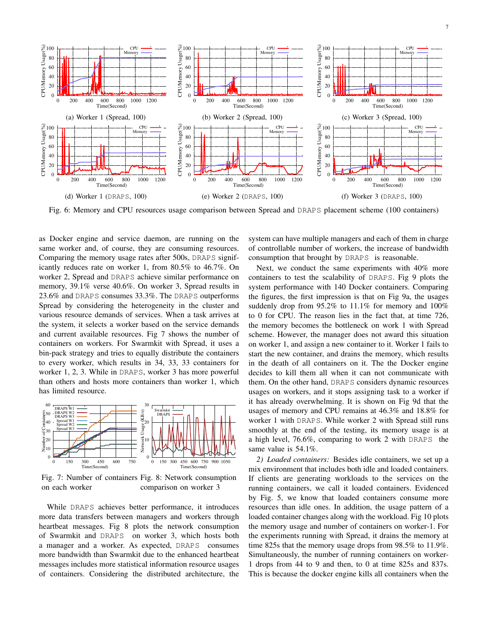

Fig. 6: Memory and CPU resources usage comparison between Spread and DRAPS placement scheme (100 containers)

as Docker engine and service daemon, are running on the same worker and, of course, they are consuming resources. Comparing the memory usage rates after 500s, DRAPS significantly reduces rate on worker 1, from 80.5% to 46.7%. On worker 2, Spread and DRAPS achieve similar performance on memory, 39.1% verse 40.6%. On worker 3, Spread results in 23.6% and DRAPS consumes 33.3%. The DRAPS outperforms Spread by considering the heterogeneity in the cluster and various resource demands of services. When a task arrives at the system, it selects a worker based on the service demands and current available resources. Fig 7 shows the number of containers on workers. For Swarmkit with Spread, it uses a bin-pack strategy and tries to equally distribute the containers to every worker, which results in 34, 33, 33 containers for worker 1, 2, 3. While in DRAPS, worker 3 has more powerful than others and hosts more containers than worker 1, which has limited resource.



Fig. 7: Number of containers Fig. 8: Network consumption on each worker comparison on worker 3

While DRAPS achieves better performance, it introduces more data transfers between managers and workers through heartbeat messages. Fig 8 plots the network consumption of Swarmkit and DRAPS on worker 3, which hosts both a manager and a worker. As expected, DRAPS consumes more bandwidth than Swarmkit due to the enhanced heartbeat messages includes more statistical information resource usages of containers. Considering the distributed architecture, the system can have multiple managers and each of them in charge of controllable number of workers, the increase of bandwidth consumption that brought by DRAPS is reasonable.

Next, we conduct the same experiments with 40% more containers to test the scalability of DRAPS. Fig 9 plots the system performance with 140 Docker containers. Comparing the figures, the first impression is that on Fig 9a, the usages suddenly drop from 95.2% to 11.1% for memory and 100% to 0 for CPU. The reason lies in the fact that, at time 726, the memory becomes the bottleneck on work 1 with Spread scheme. However, the manager does not award this situation on worker 1, and assign a new container to it. Worker 1 fails to start the new container, and drains the memory, which results in the death of all containers on it. The the Docker engine decides to kill them all when it can not communicate with them. On the other hand, DRAPS considers dynamic resources usages on workers, and it stops assigning task to a worker if it has already overwhelming. It is shown on Fig 9d that the usages of memory and CPU remains at 46.3% and 18.8% for worker 1 with DRAPS. While worker 2 with Spread still runs smoothly at the end of the testing, its memory usage is at a high level, 76.6%, comparing to work 2 with DRAPS the same value is 54.1%.

*2) Loaded containers:* Besides idle containers, we set up a mix environment that includes both idle and loaded containers. If clients are generating workloads to the services on the running containers, we call it loaded containers. Evidenced by Fig. 5, we know that loaded containers consume more resources than idle ones. In addition, the usage pattern of a loaded container changes along with the workload. Fig 10 plots the memory usage and number of containers on worker-1. For the experiments running with Spread, it drains the memory at time 825s that the memory usage drops from 98.5% to 11.9%. Simultaneously, the number of running containers on worker-1 drops from 44 to 9 and then, to 0 at time 825s and 837s. This is because the docker engine kills all containers when the